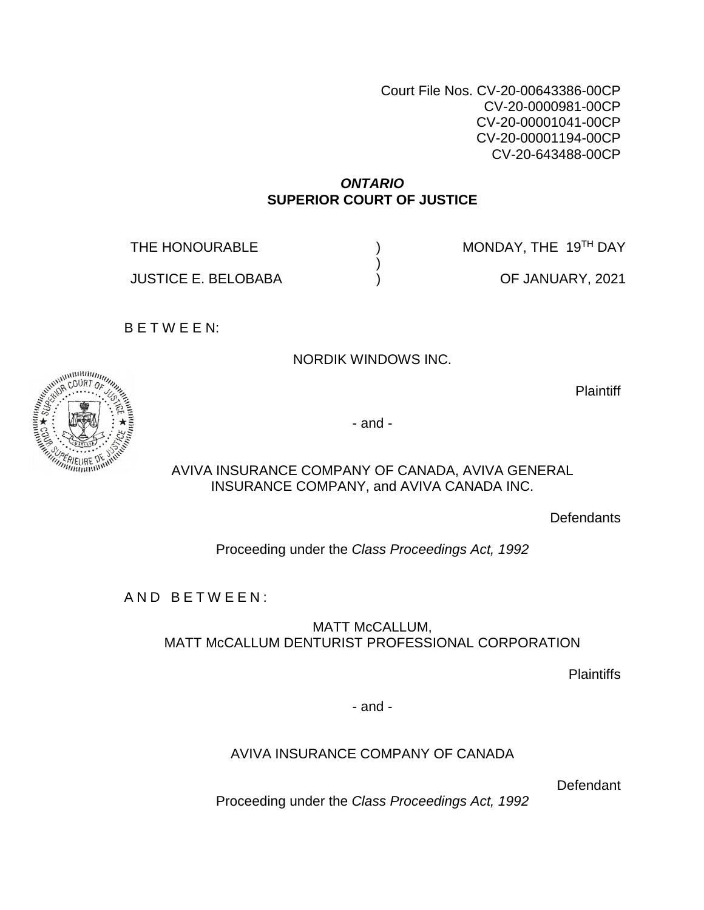Court File Nos. CV-20-00643386-00CP CV-20-0000981-00CP CV-20-00001041-00CP CV-20-00001194-00CP CV-20-643488-00CP

### *ONTARIO*  **SUPERIOR COURT OF JUSTICE**

) )  $\lambda$ 

THE HONOURABLE

MONDAY, THE 19TH DAY

JUSTICE E. BELOBABA

OF JANUARY, 2021

B E T W E E N:

NORDIK WINDOWS INC.

**Plaintiff** 



AVIVA INSURANCE COMPANY OF CANADA, AVIVA GENERAL INSURANCE COMPANY, and AVIVA CANADA INC.

**Defendants** 

Proceeding under the *Class Proceedings Act, 1992* 

AND BETWEEN:

MATT McCALLUM, MATT McCALLUM DENTURIST PROFESSIONAL CORPORATION

**Plaintiffs** 

- and -

AVIVA INSURANCE COMPANY OF CANADA

Defendant

Proceeding under the *Class Proceedings Act, 1992* 

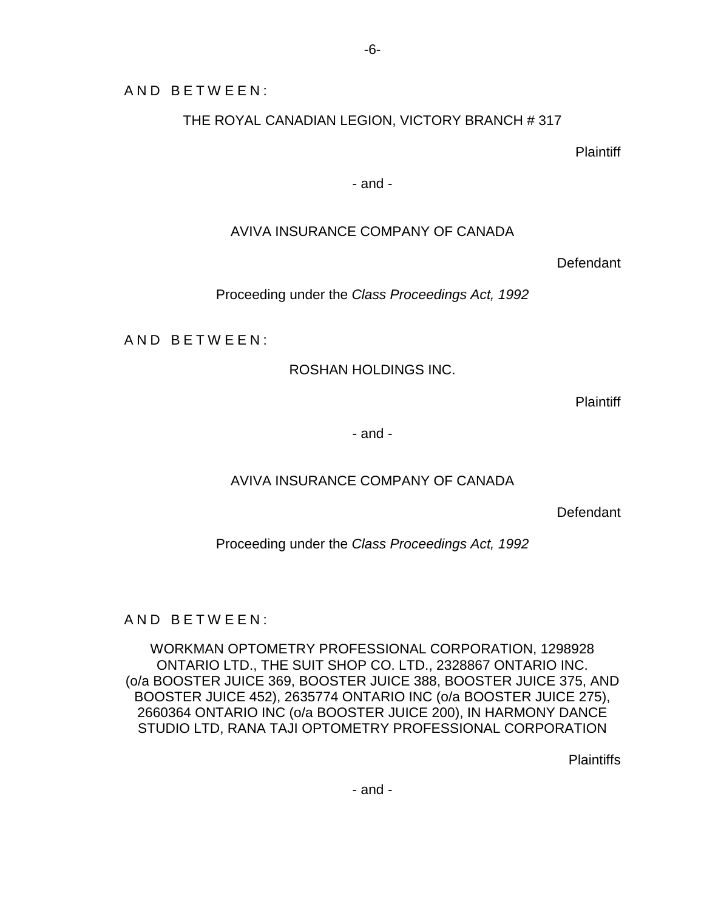AND BETWEEN:

THE ROYAL CANADIAN LEGION, VICTORY BRANCH # 317

**Plaintiff** 

- and -

## AVIVA INSURANCE COMPANY OF CANADA

**Defendant** 

Proceeding under the *Class Proceedings Act, 1992* 

AND BETWEEN:

ROSHAN HOLDINGS INC.

**Plaintiff** 

- and -

## AVIVA INSURANCE COMPANY OF CANADA

**Defendant** 

Proceeding under the *Class Proceedings Act, 1992* 

AND BETWEEN:

WORKMAN OPTOMETRY PROFESSIONAL CORPORATION, 1298928 ONTARIO LTD., THE SUIT SHOP CO. LTD., 2328867 ONTARIO INC. (o/a BOOSTER JUICE 369, BOOSTER JUICE 388, BOOSTER JUICE 375, AND BOOSTER JUICE 452), 2635774 ONTARIO INC (o/a BOOSTER JUICE 275), 2660364 ONTARIO INC (o/a BOOSTER JUICE 200), IN HARMONY DANCE STUDIO LTD, RANA TAJI OPTOMETRY PROFESSIONAL CORPORATION

**Plaintiffs** 

- and -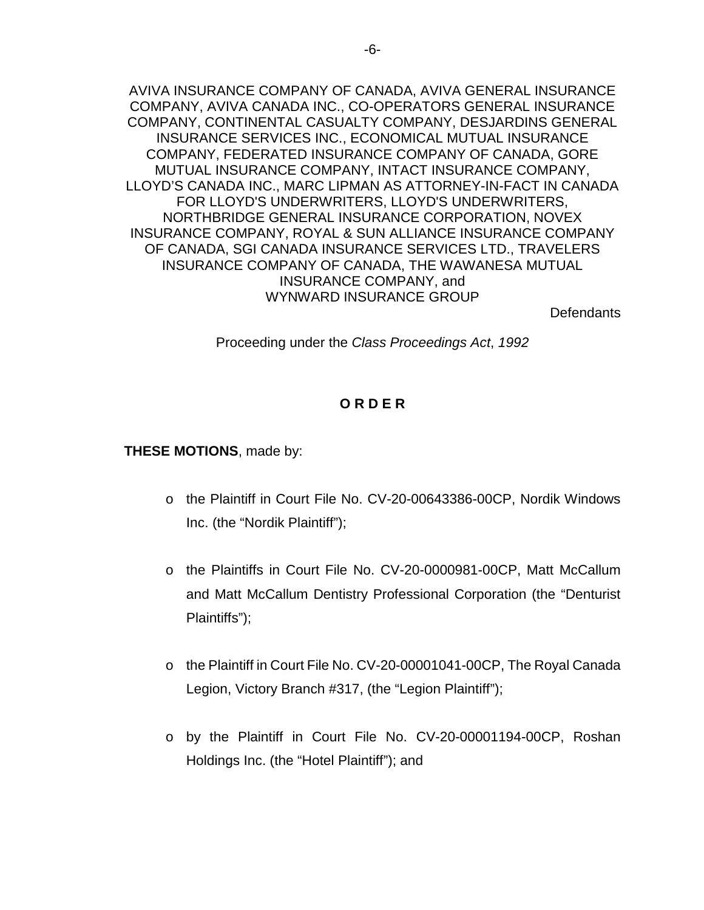AVIVA INSURANCE COMPANY OF CANADA, AVIVA GENERAL INSURANCE COMPANY, AVIVA CANADA INC., CO-OPERATORS GENERAL INSURANCE COMPANY, CONTINENTAL CASUALTY COMPANY, DESJARDINS GENERAL INSURANCE SERVICES INC., ECONOMICAL MUTUAL INSURANCE COMPANY, FEDERATED INSURANCE COMPANY OF CANADA, GORE MUTUAL INSURANCE COMPANY, INTACT INSURANCE COMPANY, LLOYD'S CANADA INC., MARC LIPMAN AS ATTORNEY-IN-FACT IN CANADA FOR LLOYD'S UNDERWRITERS, LLOYD'S UNDERWRITERS, NORTHBRIDGE GENERAL INSURANCE CORPORATION, NOVEX INSURANCE COMPANY, ROYAL & SUN ALLIANCE INSURANCE COMPANY OF CANADA, SGI CANADA INSURANCE SERVICES LTD., TRAVELERS INSURANCE COMPANY OF CANADA, THE WAWANESA MUTUAL INSURANCE COMPANY, and WYNWARD INSURANCE GROUP

Defendants

Proceeding under the *Class Proceedings Act*, *1992*

## **O R D E R**

#### **THESE MOTIONS**, made by:

- o the Plaintiff in Court File No. CV-20-00643386-00CP, Nordik Windows Inc. (the "Nordik Plaintiff");
- o the Plaintiffs in Court File No. CV-20-0000981-00CP, Matt McCallum and Matt McCallum Dentistry Professional Corporation (the "Denturist Plaintiffs");
- o the Plaintiff in Court File No. CV-20-00001041-00CP, The Royal Canada Legion, Victory Branch #317, (the "Legion Plaintiff");
- o by the Plaintiff in Court File No. CV-20-00001194-00CP, Roshan Holdings Inc. (the "Hotel Plaintiff"); and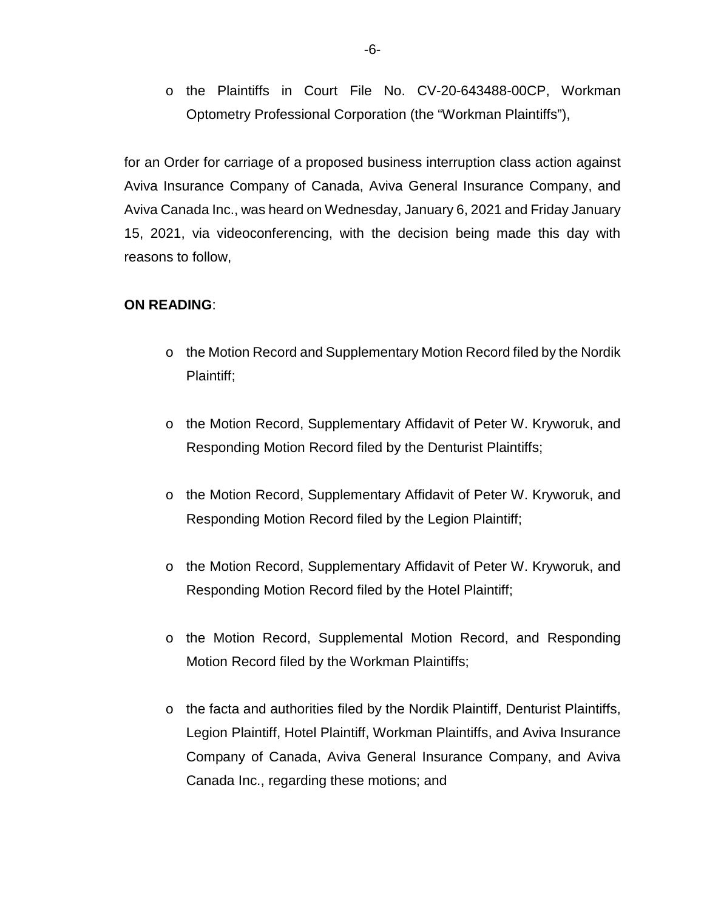o the Plaintiffs in Court File No. CV-20-643488-00CP, Workman Optometry Professional Corporation (the "Workman Plaintiffs"),

for an Order for carriage of a proposed business interruption class action against Aviva Insurance Company of Canada, Aviva General Insurance Company, and Aviva Canada Inc., was heard on Wednesday, January 6, 2021 and Friday January 15, 2021, via videoconferencing, with the decision being made this day with reasons to follow,

### **ON READING**:

- o the Motion Record and Supplementary Motion Record filed by the Nordik Plaintiff;
- o the Motion Record, Supplementary Affidavit of Peter W. Kryworuk, and Responding Motion Record filed by the Denturist Plaintiffs;
- o the Motion Record, Supplementary Affidavit of Peter W. Kryworuk, and Responding Motion Record filed by the Legion Plaintiff;
- o the Motion Record, Supplementary Affidavit of Peter W. Kryworuk, and Responding Motion Record filed by the Hotel Plaintiff;
- o the Motion Record, Supplemental Motion Record, and Responding Motion Record filed by the Workman Plaintiffs;
- $\circ$  the facta and authorities filed by the Nordik Plaintiff, Denturist Plaintiffs, Legion Plaintiff, Hotel Plaintiff, Workman Plaintiffs, and Aviva Insurance Company of Canada, Aviva General Insurance Company, and Aviva Canada Inc., regarding these motions; and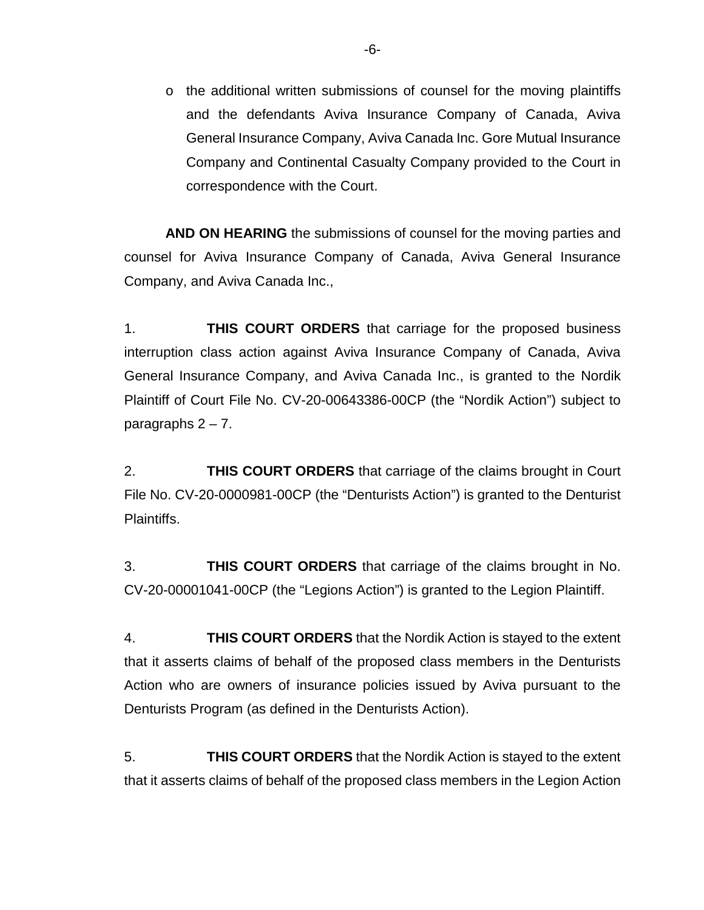$\circ$  the additional written submissions of counsel for the moving plaintiffs and the defendants Aviva Insurance Company of Canada, Aviva General Insurance Company, Aviva Canada Inc. Gore Mutual Insurance Company and Continental Casualty Company provided to the Court in correspondence with the Court.

**AND ON HEARING** the submissions of counsel for the moving parties and counsel for Aviva Insurance Company of Canada, Aviva General Insurance Company, and Aviva Canada Inc.,

1. **THIS COURT ORDERS** that carriage for the proposed business interruption class action against Aviva Insurance Company of Canada, Aviva General Insurance Company, and Aviva Canada Inc., is granted to the Nordik Plaintiff of Court File No. CV-20-00643386-00CP (the "Nordik Action") subject to paragraphs  $2 - 7$ .

2. **THIS COURT ORDERS** that carriage of the claims brought in Court File No. CV-20-0000981-00CP (the "Denturists Action") is granted to the Denturist Plaintiffs.

3. **THIS COURT ORDERS** that carriage of the claims brought in No. CV-20-00001041-00CP (the "Legions Action") is granted to the Legion Plaintiff.

4. **THIS COURT ORDERS** that the Nordik Action is stayed to the extent that it asserts claims of behalf of the proposed class members in the Denturists Action who are owners of insurance policies issued by Aviva pursuant to the Denturists Program (as defined in the Denturists Action).

5. **THIS COURT ORDERS** that the Nordik Action is stayed to the extent that it asserts claims of behalf of the proposed class members in the Legion Action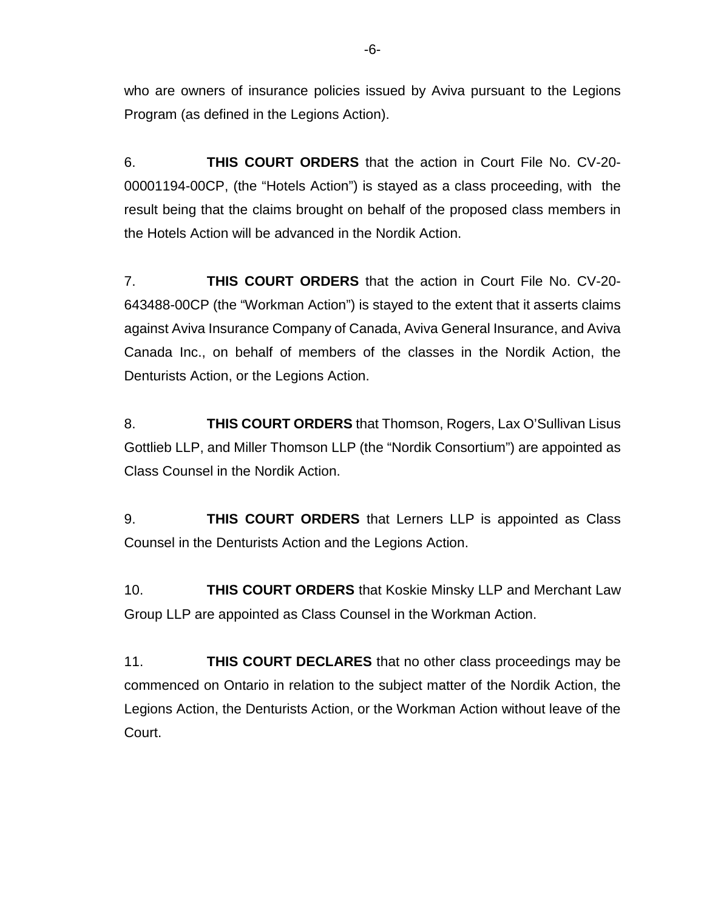who are owners of insurance policies issued by Aviva pursuant to the Legions Program (as defined in the Legions Action).

6. **THIS COURT ORDERS** that the action in Court File No. CV-20- 00001194-00CP, (the "Hotels Action") is stayed as a class proceeding, with the result being that the claims brought on behalf of the proposed class members in the Hotels Action will be advanced in the Nordik Action.

7. **THIS COURT ORDERS** that the action in Court File No. CV-20- 643488-00CP (the "Workman Action") is stayed to the extent that it asserts claims against Aviva Insurance Company of Canada, Aviva General Insurance, and Aviva Canada Inc., on behalf of members of the classes in the Nordik Action, the Denturists Action, or the Legions Action.

8. **THIS COURT ORDERS** that Thomson, Rogers, Lax O'Sullivan Lisus Gottlieb LLP, and Miller Thomson LLP (the "Nordik Consortium") are appointed as Class Counsel in the Nordik Action.

9. **THIS COURT ORDERS** that Lerners LLP is appointed as Class Counsel in the Denturists Action and the Legions Action.

10. **THIS COURT ORDERS** that Koskie Minsky LLP and Merchant Law Group LLP are appointed as Class Counsel in the Workman Action.

11. **THIS COURT DECLARES** that no other class proceedings may be commenced on Ontario in relation to the subject matter of the Nordik Action, the Legions Action, the Denturists Action, or the Workman Action without leave of the Court.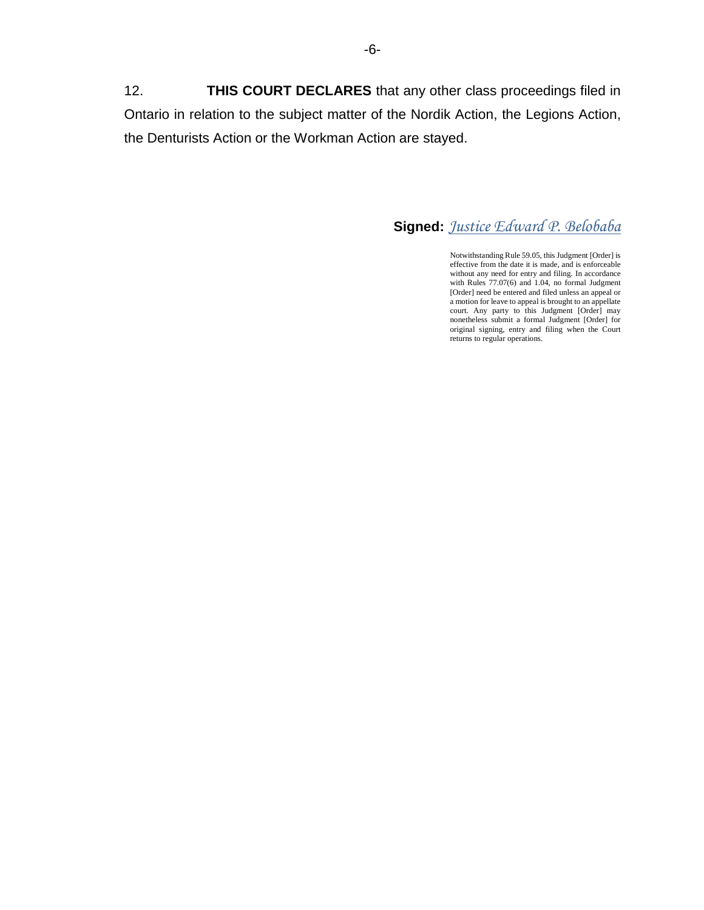12. **THIS COURT DECLARES** that any other class proceedings filed in Ontario in relation to the subject matter of the Nordik Action, the Legions Action, the Denturists Action or the Workman Action are stayed.

# **Signed:** *Justice Edward P. Belobaba*

Notwithstanding Rule 59.05, this Judgment [Order] is effective from the date it is made, and is enforceable without any need for entry and filing. In accordance with Rules 77.07(6) and 1.04, no formal Judgment [Order] need be entered and filed unless an appeal or a motion for leave to appeal is brought to an appellate court. Any party to this Judgment [Order] may nonetheless submit a formal Judgment [Order] for original signing, entry and filing when the Court returns to regular operations.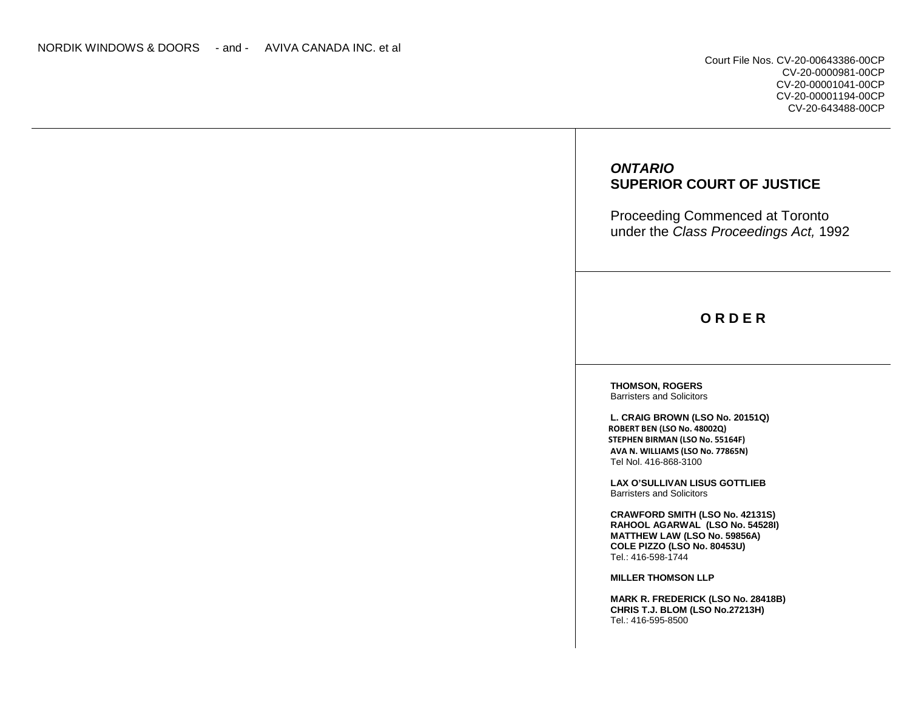Court File Nos. CV-20-00643386-00CP CV-20-0000981-00CP CV-20-00001041-00CP CV-20-00001194-00CP CV-20-643488-00CP

## *ONTARIO*  **SUPERIOR COURT OF JUSTICE**

Proceeding Commenced at Toronto under the *Class Proceedings Act,* 1992

## **O R D E R**

**THOMSON, ROGERS**  Barristers and Solicitors

**L. CRAIG BROWN (LSO No. 20151Q) ROBERT BEN (LSO No. 48002Q) STEPHEN BIRMAN (LSO No. 55164F) AVA N. WILLIAMS (LSO No. 77865N)**  Tel Nol. 416-868-3100

**LAX O'SULLIVAN LISUS GOTTLIEB**  Barristers and Solicitors

**CRAWFORD SMITH (LSO No. 42131S) RAHOOL AGARWAL (LSO No. 54528I) MATTHEW LAW (LSO No. 59856A) COLE PIZZO (LSO No. 80453U)**  Tel.: 416-598-1744

**MILLER THOMSON LLP** 

**MARK R. FREDERICK (LSO No. 28418B) CHRIS T.J. BLOM (LSO No.27213H)**  Tel.: 416-595-8500